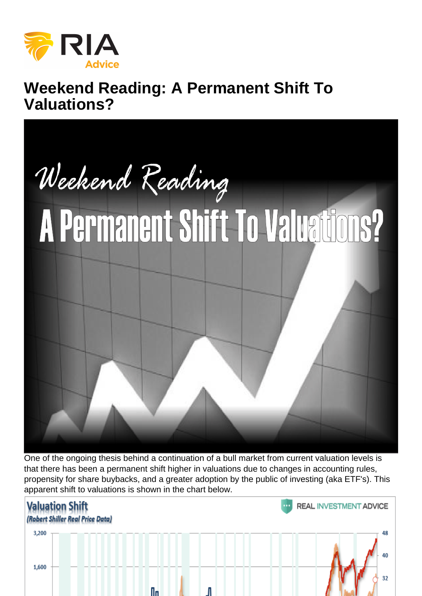# Weekend Reading: A Permanent Shift To Valuations?

One of the ongoing thesis behind a continuation of a bull market from current valuation levels is that there has been a permanent shift higher in valuations due to changes in accounting rules, propensity for share buybacks, and a greater adoption by the public of investing (aka ETF's). This apparent shift to valuations is shown in the chart below.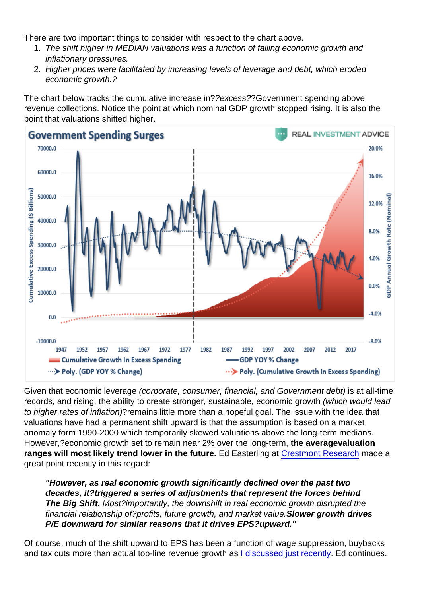There are two important things to consider with respect to the chart above.

- 1. The shift higher in MEDIAN valuations was a function of falling economic growth and inflationary pressures.
- 2. Higher prices were facilitated by increasing levels of leverage and debt, which eroded economic growth.?

The chart below tracks the cumulative increase in??excess??Government spending above revenue collections. Notice the point at which nominal GDP growth stopped rising. It is also the point that valuations shifted higher.

Given that economic leverage (corporate, consumer, financial, and Government debt) is at all-time records, and rising, the ability to create stronger, sustainable, economic growth (which would lead to higher rates of inflation)?remains little more than a hopeful goal. The issue with the idea that valuations have had a permanent shift upward is that the assumption is based on a market anomaly form 1990-2000 which temporarily skewed valuations above the long-term medians. However,?economic growth set to remain near 2% over the long-term, the average valuation ranges will most likely trend lower in the future. Ed Easterling at [Crestmont Research](https://www.crestmontresearch.com/docs/Stock-Big-Shift.pdf) made a great point recently in this regard:

"However, as real economic growth significantly declined over the past two decades, it?triggered a series of adjustments that represent the forces behind The Big Shift. Most?importantly, the downshift in real economic growth disrupted the financial relationship of?profits, future growth, and market value.Slower growth drives P/E downward for similar reasons that it drives EPS?upward."

Of course, much of the shift upward to EPS has been a function of wage suppression, buybacks and tax cuts more than actual top-line revenue growth as [I discussed just recently.](https://realinvestmentadvice.com/fundamentally-speaking-q2-earnings-review-market-outlook/) Ed continues.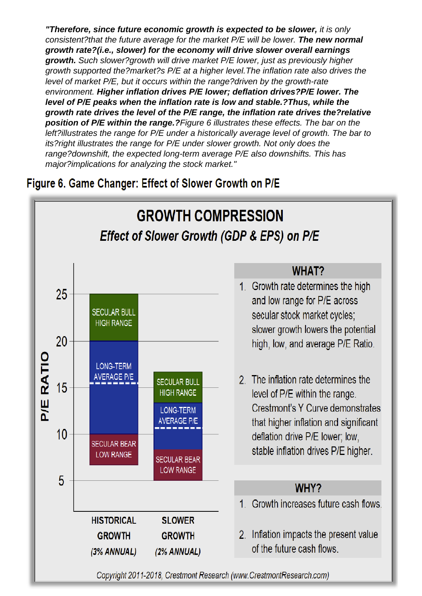"Therefore, since future economic growth is expected to be slower, it is only consistent?that the future average for the market P/E will be lower. The new normal growth rate?(i.e., slower) for the economy will drive slower overall earnings growth. Such slower?growth will drive market P/E lower, just as previously higher growth supported the?market?s P/E at a higher level.The inflation rate also drives the level of market P/E, but it occurs within the range?driven by the growth-rate environment. Higher inflation drives P/E lower; deflation drives?P/E lower. The level of P/E peaks when the inflation rate is low and stable.? Thus, while the growth rate drives the level of the P/E range, the inflation rate drives the?relative position of P/E within the range.? Figure 6 illustrates these effects. The bar on the left?illustrates the range for P/E under a historically average level of growth. The bar to its?right illustrates the range for P/E under slower growth. Not only does the range?downshift, the expected long-term average P/E also downshifts. This has major?implications for analyzing the stock market."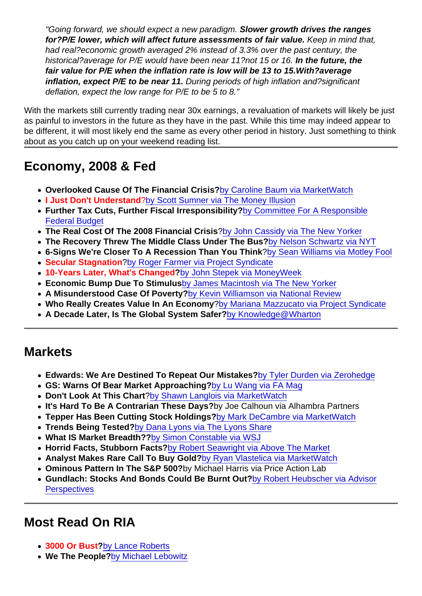"Going forward, we should expect a new paradigm. Slower growth drives the ranges for?P/E lower, which will affect future assessments of fair value. Keep in mind that, had real?economic growth averaged 2% instead of 3.3% over the past century, the historical?average for P/E would have been near 11?not 15 or 16. In the future, the fair value for P/E when the inflation rate is low will be 13 to 15. With?average inflation, expect P/E to be near 11. During periods of high inflation and?significant deflation, expect the low range for P/E to be 5 to 8."

With the markets still currently trading near 30x earnings, a revaluation of markets will likely be just as painful to investors in the future as they have in the past. While this time may indeed appear to be different, it will most likely end the same as every other period in history. Just something to think about as you catch up on your weekend reading list.

### Economy, 2008 & Fed

- Overlooked Cause Of The Financial Crisis? [by Caroline Baum via MarketWatch](https://www.marketwatch.com/story/an-overlooked-cause-of-the-financial-crisis-to-err-is-human-2018-09-12)
- I Just Don't Understand ?[by Scott Sumner via The Money Illusion](https://www.themoneyillusion.com/i-just-dont-understand/)
- Further Tax Cuts, Further Fiscal Irresponsibility? [by Committee For A Responsible](https://www.crfb.org/press-releases/further-tax-cuts-are-height-fiscal-irresponsibility) [Federal Budget](https://www.crfb.org/press-releases/further-tax-cuts-are-height-fiscal-irresponsibility)
- The Real Cost Of The 2008 Financial Crisis [?by John Cassidy via The New Yorker](https://www.newyorker.com/magazine/2018/09/17/the-real-cost-of-the-2008-financial-crisis)
- The Recovery Threw The Middle Class Under The Bus? [by Nelson Schwartz via NYT](https://www.nytimes.com/2018/09/12/business/middle-class-financial-crisis.html?action=click&module=Top Stories&pgtype=Homepage)
- 6-Signs We're Closer To A Recession Than You Think ?[by Sean Williams via Motley Fool](https://www.usatoday.com/story/money/markets/2018/09/05/recession-signs-getting-closer/37630241/)
- Secular Stagnation [?by Roger Farmer via Project Syndicate](https://www.project-syndicate.org/commentary/secular-stagnation-revisited-stiglitz-summers-debate-by-roger-farmer-2018-09)
- 10-Years Later, What's Changed ?[by John Stepek via MoneyWeek](https://moneyweek.com/494687/ten-years-on-from-the-2008-financial-crisis-whats-changed-are-the-banks-less-dangerous-now/)
- Economic Bump Due To Stimulus [by James Macintosh via The New Yorker](https://www.newyorker.com/news/our-columnists/whats-going-on-with-the-economy-its-the-stimulus-stupid)
- A Misunderstood Case Of Poverty? [by Kevin Williamson via National Review](https://www.nationalreview.com/corner/poverty-misunderstood-case-matthew-desmond/)
- Who Really Creates Value In An Economy ?[by Mariana Mazzucato via Project Syndicate](https://www.project-syndicate.org/commentary/economy-value-private-public-investment-by-mariana-mazzucato-2018-09)
- A Decade Later, Is The Global System Safer? [by Knowledge@Wharton](https://knowledge.wharton.upenn.edu/article/ten-years-great-recession-global-financial-system-safer/?utm_source=kw_newsletter&utm_medium=email&utm_campaign=2018-09-12)

#### **Markets**

- Edwards: We Are Destined To Repeat Our Mistakes? [by Tyler Durden via Zerohedge](https://www.zerohedge.com/news/2018-09-13/albert-edwards-why-we-are-destined-repeat-mistakes-past)
- GS: Warns Of Bear Market Approaching? [by Lu Wang via FA Mag](https://www.fa-mag.com/news/goldman-warns-of-bear-market-in-latest-wall-street-trade-alarm-40801.html?section=43&utm_source=FA+Subscribers&utm_campaign=4efc9f926d-FAN_AM_Send_021318_A-B_Split_COPY_01&utm_medium=email&utm_term=0_6bebc79291-4efc9f926d-234730909)
- Don't Look At This Chart ?[by Shawn Langlois via MarketWatch](https://www.marketwatch.com/story/one-look-at-this-chart-and-you-might-be-tempted-to-cash-out-for-a-couple-years-2018-09-06)
- It's Hard To Be A Contrarian These Days ?by Joe Calhoun via Alhambra Partners
- Tepper Has Been Cutting Stock Holdings? [by Mark DeCambre via MarketWatch](https://www.marketwatch.com/story/tepper-has-been-cutting-his-stock-market-holdings-says-wall-street-in-late-innings-2018-09-13)
- Trends Being Tested? [by Dana Lyons via The Lyons Share](https://jlfmi.tumblr.com/post/178043989155/trend-setting-the-stage-for-market-fireworks)
- What IS Market Breadth?? [by Simon Constable via WSJ](https://www.wsj.com/articles/what-is-market-breadth-1536544800)
- Horrid Facts, Stubborn Facts? [by Robert Seawright via Above The Market](https://rpseawright.wordpress.com/2018/09/12/horrid-facts-stubborn-facts-3/)
- Analyst Makes Rare Call To Buy Gold? [by Ryan Vlastelica via MarketWatch](https://www.marketwatch.com/story/heres-why-one-analyst-just-made-a-rare-call-to-buy-some-gold-2018-09-12)
- Ominous Pattern In The S&P 500? by Michael Harris via Price Action Lab
- Gundlach: Stocks And Bonds Could Be Burnt Out? [by Robert Heubscher via Advisor](https://www.advisorperspectives.com/articles/2018/09/12/gundlach-u-s-economy-and-stocks-could-be-burnt-out??textlink=&bt_ee=k5Lf1yjNGg7ZUPsAm2jAqG4mLl+qRQ+bpfKKDjKhB3qUB/3Xuj2wlRIkHE1OeqVO&bt_ts=1536776033876) **[Perspectives](https://www.advisorperspectives.com/articles/2018/09/12/gundlach-u-s-economy-and-stocks-could-be-burnt-out??textlink=&bt_ee=k5Lf1yjNGg7ZUPsAm2jAqG4mLl+qRQ+bpfKKDjKhB3qUB/3Xuj2wlRIkHE1OeqVO&bt_ts=1536776033876)**

## Most Read On RIA

- 3000 Or Bust ?[by Lance Roberts](https://realinvestmentadvice.com/technically-speaking-3000-or-bust/)
- We The People? [by Michael Lebowitz](https://realinvestmentadvice.com/we-the-people/)